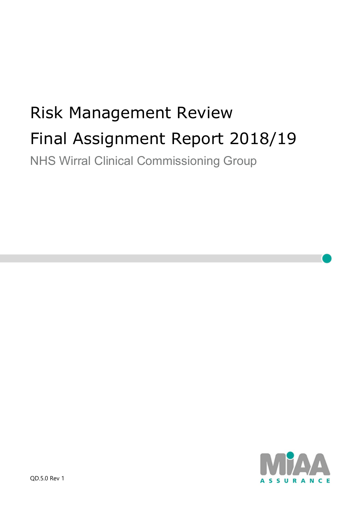# Risk Management Review Final Assignment Report 2018/19 NHS Wirral Clinical Commissioning Group

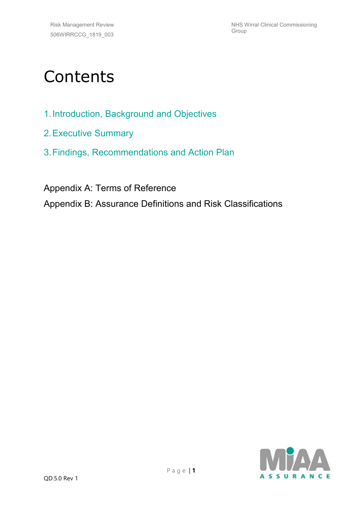# **Contents**

- 1.Introduction, Background and Objectives
- 2.Executive Summary
- 3.Findings, Recommendations and Action Plan

Appendix A: Terms of Reference

Appendix B: Assurance Definitions and Risk Classifications

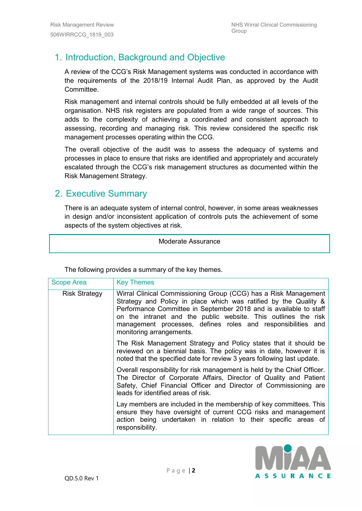## 1. Introduction, Background and Objective

A review of the CCG's Risk Management systems was conducted in accordance with the requirements of the 2018/19 Internal Audit Plan, as approved by the Audit Committee.

Risk management and internal controls should be fully embedded at all levels of the organisation. NHS risk registers are populated from a wide range of sources. This adds to the complexity of achieving a coordinated and consistent approach to assessing, recording and managing risk. This review considered the specific risk management processes operating within the CCG.

The overall objective of the audit was to assess the adequacy of systems and processes in place to ensure that risks are identified and appropriately and accurately escalated through the CCG's risk management structures as documented within the Risk Management Strategy.

#### 2. Executive Summary

There is an adequate system of internal control, however, in some areas weaknesses in design and/or inconsistent application of controls puts the achievement of some aspects of the system objectives at risk.

#### Moderate Assurance

| <b>Scope Area</b>    | <b>Key Themes</b>                                                                                                                                                                                                                                                                                                                                                      |
|----------------------|------------------------------------------------------------------------------------------------------------------------------------------------------------------------------------------------------------------------------------------------------------------------------------------------------------------------------------------------------------------------|
| <b>Risk Strategy</b> | Wirral Clinical Commissioning Group (CCG) has a Risk Management<br>Strategy and Policy in place which was ratified by the Quality &<br>Performance Committee in September 2018 and is available to staff<br>on the intranet and the public website. This outlines the risk<br>management processes, defines roles and responsibilities and<br>monitoring arrangements. |
|                      | The Risk Management Strategy and Policy states that it should be<br>reviewed on a biennial basis. The policy was in date, however it is<br>noted that the specified date for review 3 years following last update.                                                                                                                                                     |
|                      | Overall responsibility for risk management is held by the Chief Officer.<br>The Director of Corporate Affairs, Director of Quality and Patient<br>Safety, Chief Financial Officer and Director of Commissioning are<br>leads for identified areas of risk.                                                                                                             |
|                      | Lay members are included in the membership of key committees. This<br>ensure they have oversight of current CCG risks and management<br>action being undertaken in relation to their specific areas of<br>responsibility.                                                                                                                                              |

The following provides a summary of the key themes.

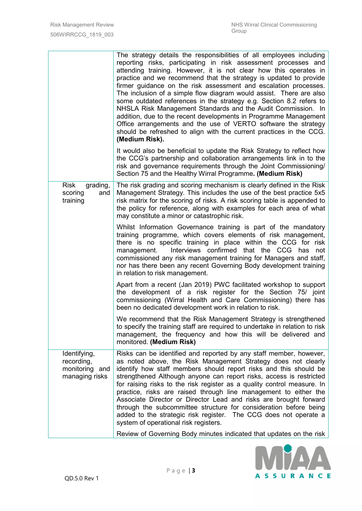|                                                                | The strategy details the responsibilities of all employees including<br>reporting risks, participating in risk assessment processes and<br>attending training. However, it is not clear how this operates in<br>practice and we recommend that the strategy is updated to provide<br>firmer guidance on the risk assessment and escalation processes.<br>The inclusion of a simple flow diagram would assist. There are also<br>some outdated references in the strategy e.g. Section 8.2 refers to<br>NHSLA Risk Management Standards and the Audit Commission. In                                                                                                                   |
|----------------------------------------------------------------|---------------------------------------------------------------------------------------------------------------------------------------------------------------------------------------------------------------------------------------------------------------------------------------------------------------------------------------------------------------------------------------------------------------------------------------------------------------------------------------------------------------------------------------------------------------------------------------------------------------------------------------------------------------------------------------|
|                                                                | addition, due to the recent developments in Programme Management<br>Office arrangements and the use of VERTO software the strategy<br>should be refreshed to align with the current practices in the CCG.<br>(Medium Risk).                                                                                                                                                                                                                                                                                                                                                                                                                                                           |
|                                                                | It would also be beneficial to update the Risk Strategy to reflect how<br>the CCG's partnership and collaboration arrangements link in to the<br>risk and governance requirements through the Joint Commissioning/<br>Section 75 and the Healthy Wirral Programme. (Medium Risk)                                                                                                                                                                                                                                                                                                                                                                                                      |
| <b>Risk</b><br>grading,<br>scoring<br>and<br>training          | The risk grading and scoring mechanism is clearly defined in the Risk<br>Management Strategy. This includes the use of the best practice 5x5<br>risk matrix for the scoring of risks. A risk scoring table is appended to<br>the policy for reference, along with examples for each area of what<br>may constitute a minor or catastrophic risk.                                                                                                                                                                                                                                                                                                                                      |
|                                                                | Whilst Information Governance training is part of the mandatory<br>training programme, which covers elements of risk management,<br>there is no specific training in place within the CCG for risk<br>Interviews confirmed that the CCG has<br>management.<br>not<br>commissioned any risk management training for Managers and staff,<br>nor has there been any recent Governing Body development training<br>in relation to risk management.                                                                                                                                                                                                                                        |
|                                                                | Apart from a recent (Jan 2019) PWC facilitated workshop to support<br>the development of a risk register for the Section 75/ joint<br>commissioning (Wirral Health and Care Commissioning) there has<br>been no dedicated development work in relation to risk.                                                                                                                                                                                                                                                                                                                                                                                                                       |
|                                                                | We recommend that the Risk Management Strategy is strengthened<br>to specify the training staff are required to undertake in relation to risk<br>management, the frequency and how this will be delivered and<br>monitored. (Medium Risk)                                                                                                                                                                                                                                                                                                                                                                                                                                             |
| Identifying,<br>recording,<br>monitoring and<br>managing risks | Risks can be identified and reported by any staff member, however,<br>as noted above, the Risk Management Strategy does not clearly<br>identify how staff members should report risks and this should be<br>strengthened Although anyone can report risks, access is restricted<br>for raising risks to the risk register as a quality control measure. In<br>practice, risks are raised through line management to either the<br>Associate Director or Director Lead and risks are brought forward<br>through the subcommittee structure for consideration before being<br>added to the strategic risk register. The CCG does not operate a<br>system of operational risk registers. |
|                                                                | Review of Governing Body minutes indicated that updates on the risk                                                                                                                                                                                                                                                                                                                                                                                                                                                                                                                                                                                                                   |

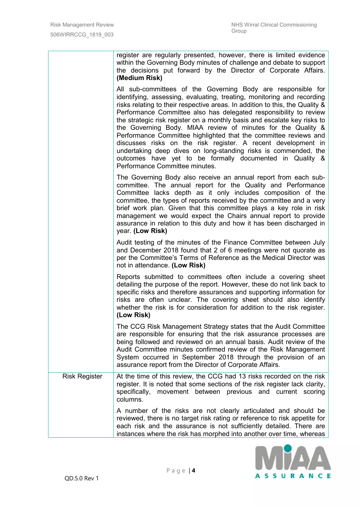|                      | register are regularly presented, however, there is limited evidence<br>within the Governing Body minutes of challenge and debate to support<br>the decisions put forward by the Director of Corporate Affairs.<br>(Medium Risk)                                                                                                                                                                                                                                                                                                                                                                                                                                                                                                              |
|----------------------|-----------------------------------------------------------------------------------------------------------------------------------------------------------------------------------------------------------------------------------------------------------------------------------------------------------------------------------------------------------------------------------------------------------------------------------------------------------------------------------------------------------------------------------------------------------------------------------------------------------------------------------------------------------------------------------------------------------------------------------------------|
|                      | All sub-committees of the Governing Body are responsible for<br>identifying, assessing, evaluating, treating, monitoring and recording<br>risks relating to their respective areas. In addition to this, the Quality &<br>Performance Committee also has delegated responsibility to review<br>the strategic risk register on a monthly basis and escalate key risks to<br>the Governing Body. MIAA review of minutes for the Quality &<br>Performance Committee highlighted that the committee reviews and<br>discusses risks on the risk register. A recent development in<br>undertaking deep dives on long-standing risks is commended, the<br>outcomes have yet to be formally documented in Quality &<br>Performance Committee minutes. |
|                      | The Governing Body also receive an annual report from each sub-<br>committee. The annual report for the Quality and Performance<br>Committee lacks depth as it only includes composition of the<br>committee, the types of reports received by the committee and a very<br>brief work plan. Given that this committee plays a key role in risk<br>management we would expect the Chairs annual report to provide<br>assurance in relation to this duty and how it has been discharged in<br>year. (Low Risk)                                                                                                                                                                                                                                  |
|                      | Audit testing of the minutes of the Finance Committee between July<br>and December 2018 found that 2 of 6 meetings were not quorate as<br>per the Committee's Terms of Reference as the Medical Director was<br>not in attendance. (Low Risk)                                                                                                                                                                                                                                                                                                                                                                                                                                                                                                 |
|                      | Reports submitted to committees often include a covering sheet<br>detailing the purpose of the report. However, these do not link back to<br>specific risks and therefore assurances and supporting information for<br>risks are often unclear. The covering sheet should also identify<br>whether the risk is for consideration for addition to the risk register.<br>(Low Risk)                                                                                                                                                                                                                                                                                                                                                             |
|                      | The CCG Risk Management Strategy states that the Audit Committee<br>are responsible for ensuring that the risk assurance processes are<br>being followed and reviewed on an annual basis. Audit review of the<br>Audit Committee minutes confirmed review of the Risk Management<br>System occurred in September 2018 through the provision of an<br>assurance report from the Director of Corporate Affairs.                                                                                                                                                                                                                                                                                                                                 |
| <b>Risk Register</b> | At the time of this review, the CCG had 13 risks recorded on the risk<br>register. It is noted that some sections of the risk register lack clarity,<br>specifically, movement between previous and current scoring<br>columns.                                                                                                                                                                                                                                                                                                                                                                                                                                                                                                               |
|                      | A number of the risks are not clearly articulated and should be<br>reviewed, there is no target risk rating or reference to risk appetite for<br>each risk and the assurance is not sufficiently detailed. There are<br>instances where the risk has morphed into another over time, whereas                                                                                                                                                                                                                                                                                                                                                                                                                                                  |

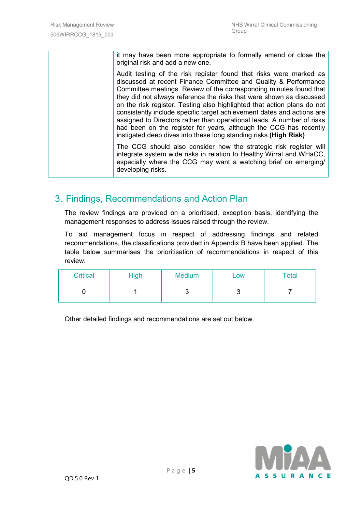it may have been more appropriate to formally amend or close the original risk and add a new one.

Audit testing of the risk register found that risks were marked as discussed at recent Finance Committee and Quality & Performance Committee meetings. Review of the corresponding minutes found that they did not always reference the risks that were shown as discussed on the risk register. Testing also highlighted that action plans do not consistently include specific target achievement dates and actions are assigned to Directors rather than operational leads. A number of risks had been on the register for years, although the CCG has recently instigated deep dives into these long standing risks.**(High Risk)**

The CCG should also consider how the strategic risk register will integrate system wide risks in relation to Healthy Wirral and WHaCC, especially where the CCG may want a watching brief on emerging/ developing risks.

#### 3. Findings, Recommendations and Action Plan

The review findings are provided on a prioritised, exception basis, identifying the management responses to address issues raised through the review.

To aid management focus in respect of addressing findings and related recommendations, the classifications provided in Appendix B have been applied. The table below summarises the prioritisation of recommendations in respect of this review.

| <b>Critical</b> | <b>High</b> | <b>Medium</b> | LOW | Total |
|-----------------|-------------|---------------|-----|-------|
|                 |             |               | ັ   |       |

Other detailed findings and recommendations are set out below.

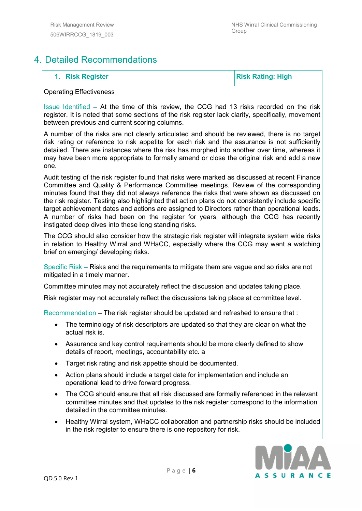### 4. Detailed Recommendations

**1.** Risk Register **Risk Rating: High** 

#### Operating Effectiveness

Issue Identified – At the time of this review, the CCG had 13 risks recorded on the risk register. It is noted that some sections of the risk register lack clarity, specifically, movement between previous and current scoring columns.

A number of the risks are not clearly articulated and should be reviewed, there is no target risk rating or reference to risk appetite for each risk and the assurance is not sufficiently detailed. There are instances where the risk has morphed into another over time, whereas it may have been more appropriate to formally amend or close the original risk and add a new one.

Audit testing of the risk register found that risks were marked as discussed at recent Finance Committee and Quality & Performance Committee meetings. Review of the corresponding minutes found that they did not always reference the risks that were shown as discussed on the risk register. Testing also highlighted that action plans do not consistently include specific target achievement dates and actions are assigned to Directors rather than operational leads. A number of risks had been on the register for years, although the CCG has recently instigated deep dives into these long standing risks.

The CCG should also consider how the strategic risk register will integrate system wide risks in relation to Healthy Wirral and WHaCC, especially where the CCG may want a watching brief on emerging/ developing risks.

Specific Risk – Risks and the requirements to mitigate them are vague and so risks are not mitigated in a timely manner.

Committee minutes may not accurately reflect the discussion and updates taking place.

Risk register may not accurately reflect the discussions taking place at committee level.

Recommendation – The risk register should be updated and refreshed to ensure that :

- The terminology of risk descriptors are updated so that they are clear on what the actual risk is.
- Assurance and key control requirements should be more clearly defined to show details of report, meetings, accountability etc. a
- Target risk rating and risk appetite should be documented.
- Action plans should include a target date for implementation and include an operational lead to drive forward progress.
- The CCG should ensure that all risk discussed are formally referenced in the relevant committee minutes and that updates to the risk register correspond to the information detailed in the committee minutes.
- Healthy Wirral system, WHaCC collaboration and partnership risks should be included in the risk register to ensure there is one repository for risk.

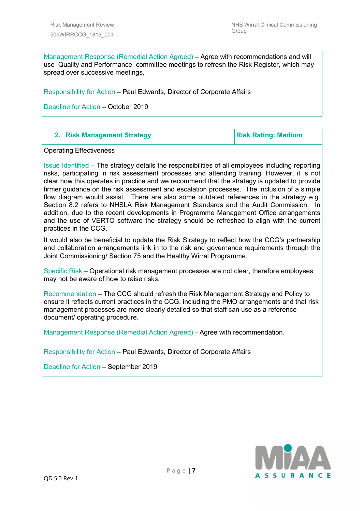Management Response (Remedial Action Agreed) – Agree with recommendations and will use Quality and Performance committee meetings to refresh the Risk Register, which may spread over successive meetings,

Responsibility for Action – Paul Edwards, Director of Corporate Affairs

Deadline for Action – October 2019

Operating Effectiveness

Issue Identified – The strategy details the responsibilities of all employees including reporting risks, participating in risk assessment processes and attending training. However, it is not clear how this operates in practice and we recommend that the strategy is updated to provide firmer guidance on the risk assessment and escalation processes. The inclusion of a simple flow diagram would assist. There are also some outdated references in the strategy e.g. Section 8.2 refers to NHSLA Risk Management Standards and the Audit Commission. In addition, due to the recent developments in Programme Management Office arrangements and the use of VERTO software the strategy should be refreshed to align with the current practices in the CCG.

It would also be beneficial to update the Risk Strategy to reflect how the CCG's partnership and collaboration arrangements link in to the risk and governance requirements through the Joint Commissioning/ Section 75 and the Healthy Wirral Programme.

Specific Risk – Operational risk management processes are not clear, therefore employees may not be aware of how to raise risks.

Recommendation – The CCG should refresh the Risk Management Strategy and Policy to ensure it reflects current practices in the CCG, including the PMO arrangements and that risk management processes are more clearly detailed so that staff can use as a reference document/ operating procedure.

Management Response (Remedial Action Agreed) – Agree with recommendation.

Responsibility for Action – Paul Edwards, Director of Corporate Affairs

Deadline for Action – September 2019

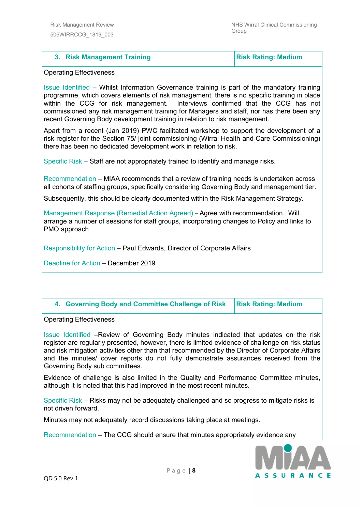#### **3.** Risk Management Training **Risk Rating: Medium**

#### Operating Effectiveness

Issue Identified – Whilst Information Governance training is part of the mandatory training programme, which covers elements of risk management, there is no specific training in place within the CCG for risk management. Interviews confirmed that the CCG has not commissioned any risk management training for Managers and staff, nor has there been any recent Governing Body development training in relation to risk management.

Apart from a recent (Jan 2019) PWC facilitated workshop to support the development of a risk register for the Section 75/ joint commissioning (Wirral Health and Care Commissioning) there has been no dedicated development work in relation to risk.

Specific Risk – Staff are not appropriately trained to identify and manage risks.

Recommendation – MIAA recommends that a review of training needs is undertaken across all cohorts of staffing groups, specifically considering Governing Body and management tier.

Subsequently, this should be clearly documented within the Risk Management Strategy.

Management Response (Remedial Action Agreed) – Agree with recommendation. Will arrange a number of sessions for staff groups, incorporating changes to Policy and links to PMO approach

Responsibility for Action – Paul Edwards, Director of Corporate Affairs

Deadline for Action – December 2019

| 4. Governing Body and Committee Challenge of Risk   Risk Rating: Medium |  |
|-------------------------------------------------------------------------|--|
|-------------------------------------------------------------------------|--|

Operating Effectiveness

Issue Identified –Review of Governing Body minutes indicated that updates on the risk register are regularly presented, however, there is limited evidence of challenge on risk status and risk mitigation activities other than that recommended by the Director of Corporate Affairs and the minutes/ cover reports do not fully demonstrate assurances received from the Governing Body sub committees.

Evidence of challenge is also limited in the Quality and Performance Committee minutes, although it is noted that this had improved in the most recent minutes.

Specific Risk – Risks may not be adequately challenged and so progress to mitigate risks is not driven forward.

Minutes may not adequately record discussions taking place at meetings.

Recommendation – The CCG should ensure that minutes appropriately evidence any

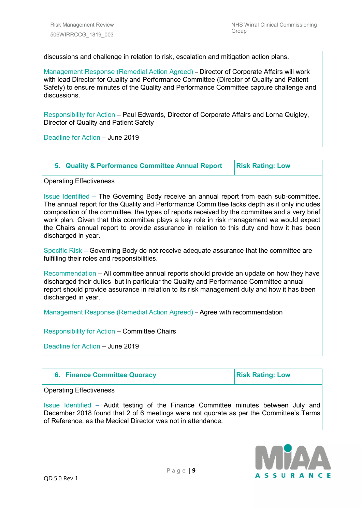discussions and challenge in relation to risk, escalation and mitigation action plans.

Management Response (Remedial Action Agreed) – Director of Corporate Affairs will work with lead Director for Quality and Performance Committee (Director of Quality and Patient Safety) to ensure minutes of the Quality and Performance Committee capture challenge and discussions.

Responsibility for Action – Paul Edwards, Director of Corporate Affairs and Lorna Quigley, Director of Quality and Patient Safety

Deadline for Action – June 2019

| 5. Quality & Performance Committee Annual Report | <b>Risk Rating: Low</b> |
|--------------------------------------------------|-------------------------|
|--------------------------------------------------|-------------------------|

Operating Effectiveness

Issue Identified – The Governing Body receive an annual report from each sub-committee. The annual report for the Quality and Performance Committee lacks depth as it only includes composition of the committee, the types of reports received by the committee and a very brief work plan. Given that this committee plays a key role in risk management we would expect the Chairs annual report to provide assurance in relation to this duty and how it has been discharged in year.

Specific Risk – Governing Body do not receive adequate assurance that the committee are fulfilling their roles and responsibilities.

Recommendation – All committee annual reports should provide an update on how they have discharged their duties but in particular the Quality and Performance Committee annual report should provide assurance in relation to its risk management duty and how it has been discharged in year.

Management Response (Remedial Action Agreed) – Agree with recommendation

Responsibility for Action – Committee Chairs

Deadline for Action – June 2019

|  |  | 6. Finance Committee Quoracy |  |  |
|--|--|------------------------------|--|--|
|--|--|------------------------------|--|--|

**Risk Rating: Low** 

Operating Effectiveness

Issue Identified – Audit testing of the Finance Committee minutes between July and December 2018 found that 2 of 6 meetings were not quorate as per the Committee's Terms of Reference, as the Medical Director was not in attendance.

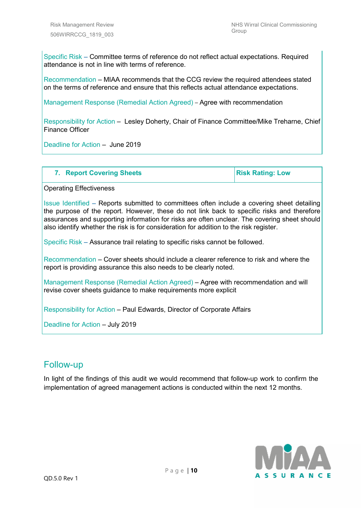Specific Risk – Committee terms of reference do not reflect actual expectations. Required attendance is not in line with terms of reference.

Recommendation – MIAA recommends that the CCG review the required attendees stated on the terms of reference and ensure that this reflects actual attendance expectations.

Management Response (Remedial Action Agreed) – Agree with recommendation

Responsibility for Action – Lesley Doherty, Chair of Finance Committee/Mike Treharne, Chief Finance Officer

Deadline for Action – June 2019

| <b>7. Report Covering Sheets</b> | <b>Risk Rating: Low</b> |
|----------------------------------|-------------------------|
|----------------------------------|-------------------------|

Operating Effectiveness

Issue Identified – Reports submitted to committees often include a covering sheet detailing the purpose of the report. However, these do not link back to specific risks and therefore assurances and supporting information for risks are often unclear. The covering sheet should also identify whether the risk is for consideration for addition to the risk register.

Specific Risk – Assurance trail relating to specific risks cannot be followed.

Recommendation – Cover sheets should include a clearer reference to risk and where the report is providing assurance this also needs to be clearly noted.

Management Response (Remedial Action Agreed) – Agree with recommendation and will revise cover sheets guidance to make requirements more explicit

Responsibility for Action – Paul Edwards, Director of Corporate Affairs

Deadline for Action – July 2019

#### Follow-up

In light of the findings of this audit we would recommend that follow-up work to confirm the implementation of agreed management actions is conducted within the next 12 months.

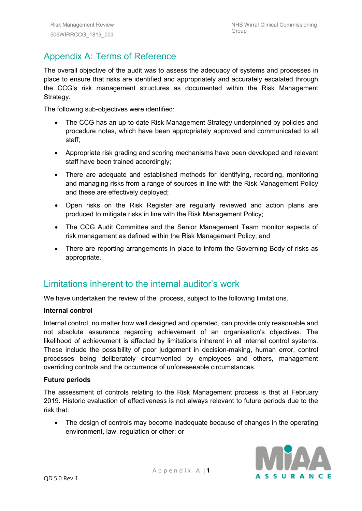# Appendix A: Terms of Reference

The overall objective of the audit was to assess the adequacy of systems and processes in place to ensure that risks are identified and appropriately and accurately escalated through the CCG's risk management structures as documented within the Risk Management Strategy.

The following sub-objectives were identified:

- The CCG has an up-to-date Risk Management Strategy underpinned by policies and procedure notes, which have been appropriately approved and communicated to all staff;
- Appropriate risk grading and scoring mechanisms have been developed and relevant staff have been trained accordingly;
- There are adequate and established methods for identifying, recording, monitoring and managing risks from a range of sources in line with the Risk Management Policy and these are effectively deployed;
- Open risks on the Risk Register are regularly reviewed and action plans are produced to mitigate risks in line with the Risk Management Policy;
- The CCG Audit Committee and the Senior Management Team monitor aspects of risk management as defined within the Risk Management Policy; and
- There are reporting arrangements in place to inform the Governing Body of risks as appropriate.

#### Limitations inherent to the internal auditor's work

We have undertaken the review of the process, subject to the following limitations.

#### **Internal control**

Internal control, no matter how well designed and operated, can provide only reasonable and not absolute assurance regarding achievement of an organisation's objectives. The likelihood of achievement is affected by limitations inherent in all internal control systems. These include the possibility of poor judgement in decision-making, human error, control processes being deliberately circumvented by employees and others, management overriding controls and the occurrence of unforeseeable circumstances.

#### **Future periods**

The assessment of controls relating to the Risk Management process is that at February 2019. Historic evaluation of effectiveness is not always relevant to future periods due to the risk that:

• The design of controls may become inadequate because of changes in the operating environment, law, regulation or other; or

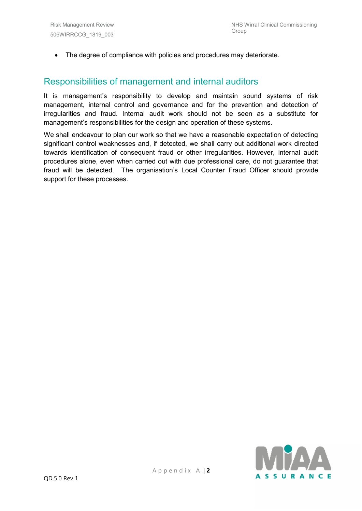• The degree of compliance with policies and procedures may deteriorate.

#### Responsibilities of management and internal auditors

It is management's responsibility to develop and maintain sound systems of risk management, internal control and governance and for the prevention and detection of irregularities and fraud. Internal audit work should not be seen as a substitute for management's responsibilities for the design and operation of these systems.

We shall endeavour to plan our work so that we have a reasonable expectation of detecting significant control weaknesses and, if detected, we shall carry out additional work directed towards identification of consequent fraud or other irregularities. However, internal audit procedures alone, even when carried out with due professional care, do not guarantee that fraud will be detected. The organisation's Local Counter Fraud Officer should provide support for these processes.

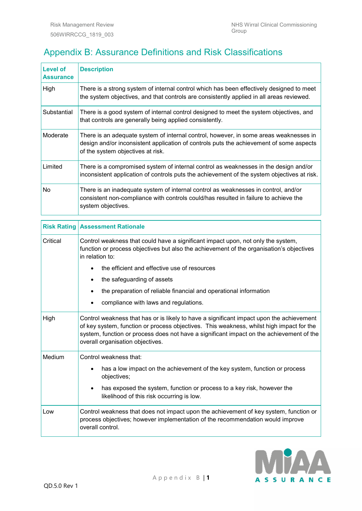# Appendix B: Assurance Definitions and Risk Classifications

| <b>Level of</b><br><b>Assurance</b> | <b>Description</b>                                                                                                                                                                                                    |
|-------------------------------------|-----------------------------------------------------------------------------------------------------------------------------------------------------------------------------------------------------------------------|
| High                                | There is a strong system of internal control which has been effectively designed to meet<br>the system objectives, and that controls are consistently applied in all areas reviewed.                                  |
| Substantial                         | There is a good system of internal control designed to meet the system objectives, and<br>that controls are generally being applied consistently.                                                                     |
| Moderate                            | There is an adequate system of internal control, however, in some areas weaknesses in<br>design and/or inconsistent application of controls puts the achievement of some aspects<br>of the system objectives at risk. |
| Limited                             | There is a compromised system of internal control as weaknesses in the design and/or<br>inconsistent application of controls puts the achievement of the system objectives at risk.                                   |
| No                                  | There is an inadequate system of internal control as weaknesses in control, and/or<br>consistent non-compliance with controls could/has resulted in failure to achieve the<br>system objectives.                      |

|          | <b>Risk Rating Assessment Rationale</b>                                                                                                                                                                                                                                                                              |  |  |
|----------|----------------------------------------------------------------------------------------------------------------------------------------------------------------------------------------------------------------------------------------------------------------------------------------------------------------------|--|--|
| Critical | Control weakness that could have a significant impact upon, not only the system,<br>function or process objectives but also the achievement of the organisation's objectives<br>in relation to:                                                                                                                      |  |  |
|          | the efficient and effective use of resources                                                                                                                                                                                                                                                                         |  |  |
|          | the safeguarding of assets                                                                                                                                                                                                                                                                                           |  |  |
|          | the preparation of reliable financial and operational information                                                                                                                                                                                                                                                    |  |  |
|          | compliance with laws and regulations.                                                                                                                                                                                                                                                                                |  |  |
| High     | Control weakness that has or is likely to have a significant impact upon the achievement<br>of key system, function or process objectives. This weakness, whilst high impact for the<br>system, function or process does not have a significant impact on the achievement of the<br>overall organisation objectives. |  |  |
| Medium   | Control weakness that:                                                                                                                                                                                                                                                                                               |  |  |
|          | has a low impact on the achievement of the key system, function or process<br>objectives;                                                                                                                                                                                                                            |  |  |
|          | has exposed the system, function or process to a key risk, however the<br>likelihood of this risk occurring is low.                                                                                                                                                                                                  |  |  |
| Low      | Control weakness that does not impact upon the achievement of key system, function or<br>process objectives; however implementation of the recommendation would improve<br>overall control.                                                                                                                          |  |  |

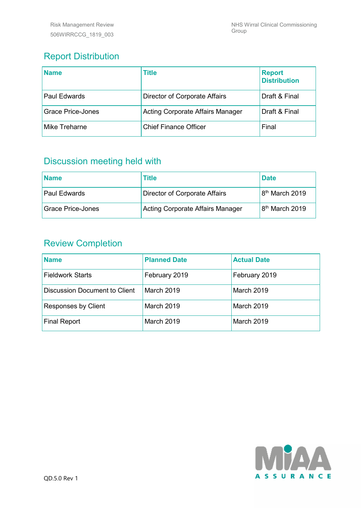# Report Distribution

| <b>Name</b>              | <b>Title</b>                     | <b>Report</b><br><b>Distribution</b> |
|--------------------------|----------------------------------|--------------------------------------|
| <b>Paul Edwards</b>      | Director of Corporate Affairs    | Draft & Final                        |
| <b>Grace Price-Jones</b> | Acting Corporate Affairs Manager | Draft & Final                        |
| <b>Mike Treharne</b>     | <b>Chief Finance Officer</b>     | Final                                |

## Discussion meeting held with

| Name                | Title                            | <b>Date</b>                |
|---------------------|----------------------------------|----------------------------|
| <b>Paul Edwards</b> | Director of Corporate Affairs    | 8 <sup>th</sup> March 2019 |
| Grace Price-Jones   | Acting Corporate Affairs Manager | 8 <sup>th</sup> March 2019 |

### Review Completion

| <b>Name</b>                          | <b>Planned Date</b> | <b>Actual Date</b> |
|--------------------------------------|---------------------|--------------------|
| <b>Fieldwork Starts</b>              | February 2019       | February 2019      |
| <b>Discussion Document to Client</b> | March 2019          | <b>March 2019</b>  |
| Responses by Client                  | <b>March 2019</b>   | <b>March 2019</b>  |
| <b>Final Report</b>                  | <b>March 2019</b>   | <b>March 2019</b>  |